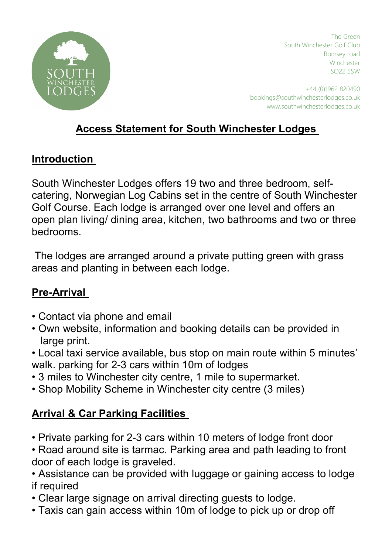

The Green South Winchester Golf Club Romsey road Winchester SO22 5SW

+44 (0)1962 820490 bookings@southwinchesterlodges.co.uk www.southwinchesterlodges.co.uk

## Access Statement for South Winchester Lodges

#### **Introduction**

South Winchester Lodges offers 19 two and three bedroom, selfcatering, Norwegian Log Cabins set in the centre of South Winchester Golf Course. Each lodge is arranged over one level and offers an open plan living/ dining area, kitchen, two bathrooms and two or three bedrooms.

 The lodges are arranged around a private putting green with grass areas and planting in between each lodge.

### Pre-Arrival

- Contact via phone and email
- Own website, information and booking details can be provided in large print.
- Local taxi service available, bus stop on main route within 5 minutes' walk. parking for 2-3 cars within 10m of lodges
- 3 miles to Winchester city centre, 1 mile to supermarket.
- Shop Mobility Scheme in Winchester city centre (3 miles)

## **Arrival & Car Parking Facilities**

- Private parking for 2-3 cars within 10 meters of lodge front door
- Road around site is tarmac. Parking area and path leading to front door of each lodge is graveled.

• Assistance can be provided with luggage or gaining access to lodge if required

- Clear large signage on arrival directing guests to lodge.
- Taxis can gain access within 10m of lodge to pick up or drop off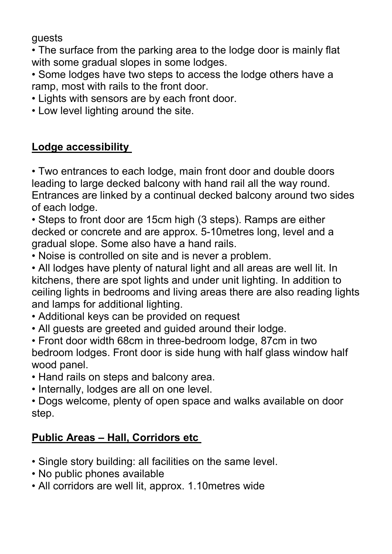guests

• The surface from the parking area to the lodge door is mainly flat with some gradual slopes in some lodges.

• Some lodges have two steps to access the lodge others have a ramp, most with rails to the front door.

- Lights with sensors are by each front door.
- Low level lighting around the site.

### Lodge accessibility

• Two entrances to each lodge, main front door and double doors leading to large decked balcony with hand rail all the way round. Entrances are linked by a continual decked balcony around two sides of each lodge.

• Steps to front door are 15cm high (3 steps). Ramps are either decked or concrete and are approx. 5-10metres long, level and a gradual slope. Some also have a hand rails.

• Noise is controlled on site and is never a problem.

• All lodges have plenty of natural light and all areas are well lit. In kitchens, there are spot lights and under unit lighting. In addition to ceiling lights in bedrooms and living areas there are also reading lights and lamps for additional lighting.

- Additional keys can be provided on request
- All guests are greeted and guided around their lodge.

• Front door width 68cm in three-bedroom lodge, 87cm in two bedroom lodges. Front door is side hung with half glass window half wood panel.

• Hand rails on steps and balcony area.

• Internally, lodges are all on one level.

• Dogs welcome, plenty of open space and walks available on door step.

## Public Areas - Hall, Corridors etc

- Single story building: all facilities on the same level.
- No public phones available
- All corridors are well lit, approx. 1.10metres wide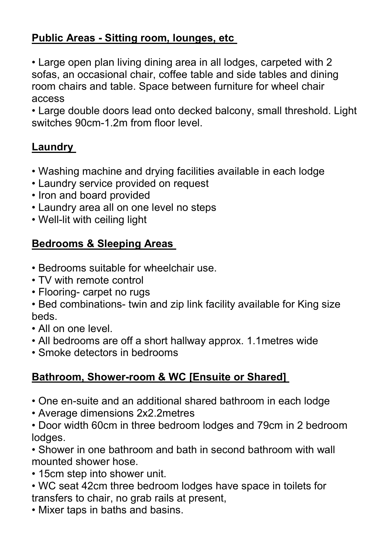## Public Areas - Sitting room, lounges, etc

• Large open plan living dining area in all lodges, carpeted with 2 sofas, an occasional chair, coffee table and side tables and dining room chairs and table. Space between furniture for wheel chair access

• Large double doors lead onto decked balcony, small threshold. Light switches 90cm-1.2m from floor level.

# Laundry

- Washing machine and drying facilities available in each lodge
- Laundry service provided on request
- Iron and board provided
- Laundry area all on one level no steps
- Well-lit with ceiling light

## Bedrooms & Sleeping Areas

- Bedrooms suitable for wheelchair use.
- TV with remote control
- Flooring- carpet no rugs
- Bed combinations- twin and zip link facility available for King size beds.
- All on one level.
- All bedrooms are off a short hallway approx. 1.1metres wide
- Smoke detectors in bedrooms

## Bathroom, Shower-room & WC [Ensuite or Shared]

- One en-suite and an additional shared bathroom in each lodge
- Average dimensions 2x2.2metres
- Door width 60cm in three bedroom lodges and 79cm in 2 bedroom lodges.

• Shower in one bathroom and bath in second bathroom with wall mounted shower hose.

- 15cm step into shower unit.
- WC seat 42cm three bedroom lodges have space in toilets for transfers to chair, no grab rails at present,
- Mixer taps in baths and basins.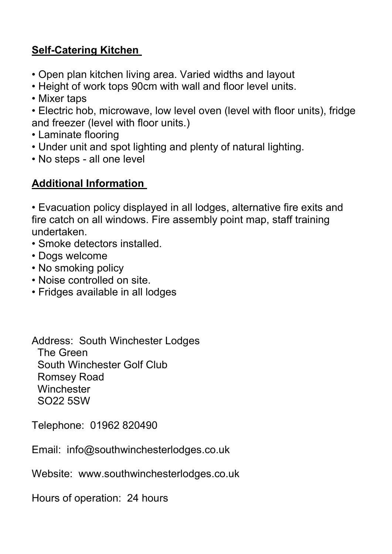## Self-Catering Kitchen

- Open plan kitchen living area. Varied widths and layout
- Height of work tops 90cm with wall and floor level units.
- Mixer taps
- Electric hob, microwave, low level oven (level with floor units), fridge and freezer (level with floor units.)
- Laminate flooring
- Under unit and spot lighting and plenty of natural lighting.
- No steps all one level

#### Additional Information

• Evacuation policy displayed in all lodges, alternative fire exits and fire catch on all windows. Fire assembly point map, staff training undertaken.

- Smoke detectors installed.
- Dogs welcome
- No smoking policy
- Noise controlled on site.
- Fridges available in all lodges

Address: South Winchester Lodges The Green South Winchester Golf Club Romsey Road **Winchester** SO22 5SW

Telephone: 01962 820490

Email: info@southwinchesterlodges.co.uk

Website: www.southwinchesterlodges.co.uk

Hours of operation: 24 hours